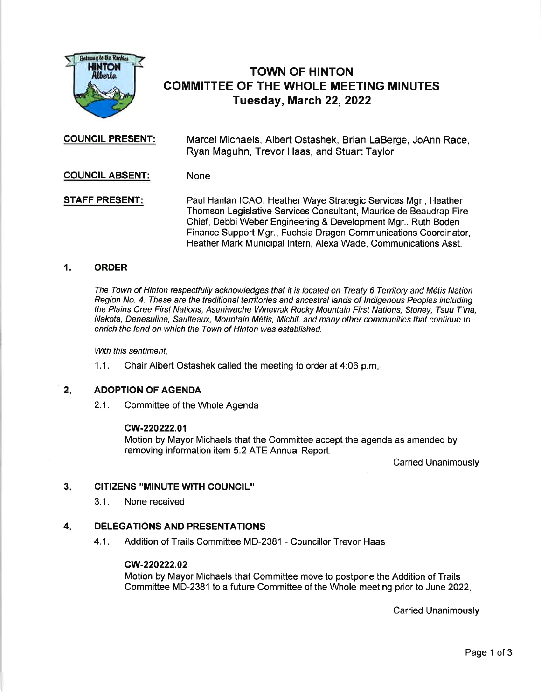

# TOWN OF HINTON GOMMITTEE OF THE WHOLE MEETING MINUTES Tuesday, March 22, 2022

COUNCIL PRESENT: Marcel Michaels, Albert Ostashek, Brian LaBerge, JoAnn Race, Ryan Maguhn, Trevor Haas, and Stuart Taylor

## GOUNCIL ABSENT: None

**STAFF PRESENT:** Paul Hanlan ICAO, Heather Waye Strategic Services Mgr., Heather Thomson Legislative Services Consultant, Maurice de Beaudrap Fire Chief, Debbi Weber Engineering & Development Mgr., Ruth Boden Finance Support Mgr., Fuchsia Dragon Communications Coordinator, Heather Mark Municipal lntern, Alexa Wade, Communications Asst.

# '1. ORDER

The Town of Hinton respectfully acknowledges that it is located on Treaty 6 Territory and M6tis Nation Region No. 4. These are the traditional territories and ancestral lands of Indigenous Peoples including the Plains Cree First Nations, Aseniwuche Winewak Rocky Mountain First Nations, Stoney, Tsuu T'ina, Nakota, Denesuline, Saulteaux, Mountain M6tis, Michif, and many other communities that continue to enrich the land on which the Town of Hinton was established.

With this sentiment.

1.1. Chair Albert Ostashek called the meeting to order at 4:06 p.m

#### ADOPTION OF AGENDA  $2.$

2.1. Committee of the Whole Agenda

### cw-220222.01

Motion by Mayor Michaels that the Committee accept the agenda as amended by removing information item 5.2 ATE Annual Report.

Carried Unanimously

#### CITIZENS "MINUTE WITH COUNCIL'' 3

3.1. None received

#### DELEGATIONS AND PRESENTATIONS 4

4.1. Addition of Trails Committee MD-2381 - Councillor Trevor Haas

# cw-220222.02

Motion by Mayor Michaels that Committee move to postpone the Addition of Trails Committee MD-2381 to a future Committee of the Whole meeting prior to June2O22

Carried Unanimously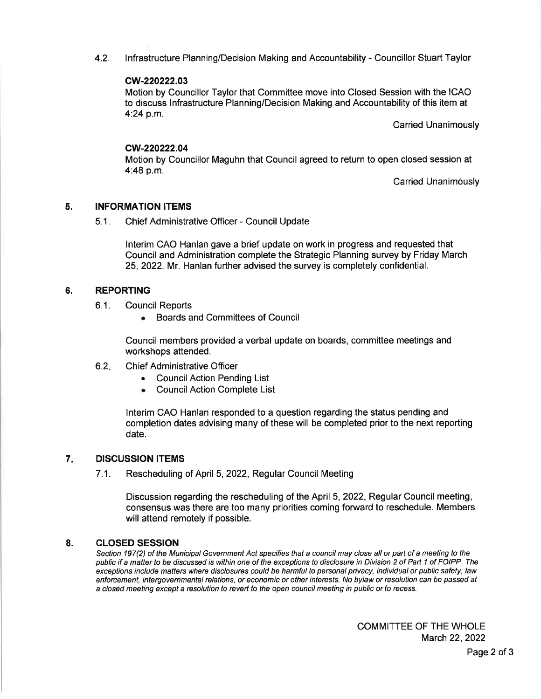4.2. lnfrastructure Planning/Decision Making and Accountability - Councillor Stuart Taylor

## cw-220222.03

Motion by Councillor Taylor that Committee move into Closed Session with the ICAO to discuss lnfrastructure Planning/Decision Making and Accountability of this item at 4:24 p.m.

Carried Unanimously

## cw-220222.04

Motion by Councillor Maguhn that Council agreed to return to open closed session at 4:48 p.m.

Carried Unanimously

#### 5. INFORMATION ITEMS

5.1 . Chief Administrative Officer - Council Update

lnterim CAO Hanlan gave a brief update on work in progress and requested that Council and Administration complete the Strategic Planning survey by Friday March 25,2022. Mr. Hanlan further advised the survey is completely confidential.

#### REPORTING 6.

- 6.1. Council Reports
	- . Boards and Committees of Council

Council members provided a verbal update on boards, committee meetings and workshops attended.

#### $6.2.$ Ch ief Administrative Officer

- . CouncilAction Pending List
- . CouncilAction Complete List

lnterim CAO Hanlan responded to a question regarding the status pending and completion dates advising many of these will be completed prior to the next reporting date.

#### 7 DISCUSSION ITEMS

7.1. Rescheduling of April 5,2022, Regular Council Meeting

Discussion regarding the rescheduling of the April 5,2022, Regular Council meeting, consensus was there are too many priorities coming forward to reschedule. Members will attend remotely if possible.

#### CLOSED SESSION 8.

Section 197(2) of the Municipal Government Act specifies that a council may close all or part of a meeting to the public if a matter to be dlscussed is within one of the exceptions to disclosure in Division 2 of Part 1 of FOIPP. The exceptions include matters where disclosures could be harmful to personal privacy, individual or public safety, law enforcement, intergovernmental relations, or economic or other interesfs. No bylaw or resolution can be passed at a closed meeting except a resolution to revert to the open council meeting in public or fo recess.

> COMMITTEE OF THE WHOLE March 22, 2022